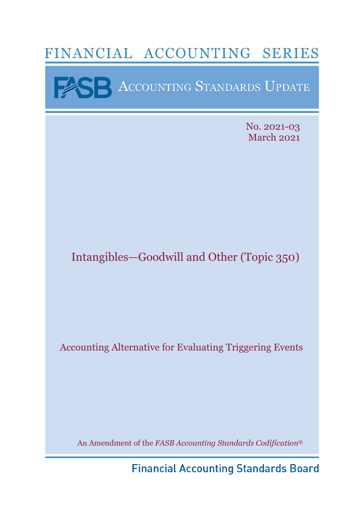# FINANCIAL ACCOUNTING SERIES

**BEST ACCOUNTING STANDARDS UPDATE** 

No. 2021-03 March 2021

# Intangibles—Goodwill and Other (Topic 350)

Accounting Alternative for Evaluating Triggering Events

An Amendment of the *FASB Accounting Standards Codification*®

**Financial Accounting Standards Board**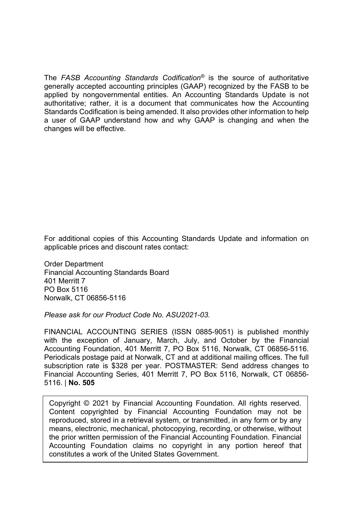The *FASB Accounting Standards Codification®* is the source of authoritative generally accepted accounting principles (GAAP) recognized by the FASB to be applied by nongovernmental entities. An Accounting Standards Update is not authoritative; rather, it is a document that communicates how the Accounting Standards Codification is being amended. It also provides other information to help a user of GAAP understand how and why GAAP is changing and when the changes will be effective.

For additional copies of this Accounting Standards Update and information on applicable prices and discount rates contact:

Order Department Financial Accounting Standards Board 401 Merritt 7 PO Box 5116 Norwalk, CT 06856-5116

*Please ask for our Product Code No. ASU2021-03.* 

FINANCIAL ACCOUNTING SERIES (ISSN 0885-9051) is published monthly with the exception of January, March, July, and October by the Financial Accounting Foundation, 401 Merritt 7, PO Box 5116, Norwalk, CT 06856-5116. Periodicals postage paid at Norwalk, CT and at additional mailing offices. The full subscription rate is \$328 per year. POSTMASTER: Send address changes to Financial Accounting Series, 401 Merritt 7, PO Box 5116, Norwalk, CT 06856- 5116. | **No. 505**

Copyright © 2021 by Financial Accounting Foundation. All rights reserved. Content copyrighted by Financial Accounting Foundation may not be reproduced, stored in a retrieval system, or transmitted, in any form or by any means, electronic, mechanical, photocopying, recording, or otherwise, without the prior written permission of the Financial Accounting Foundation. Financial Accounting Foundation claims no copyright in any portion hereof that constitutes a work of the United States Government.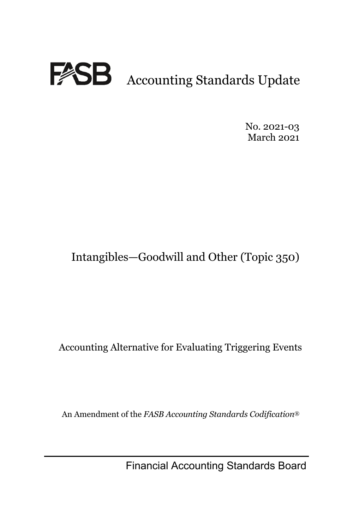

No. 2021-03 March 2021

# Intangibles—Goodwill and Other (Topic 350)

Accounting Alternative for Evaluating Triggering Events

An Amendment of the *FASB Accounting Standards Codification*®

Financial Accounting Standards Board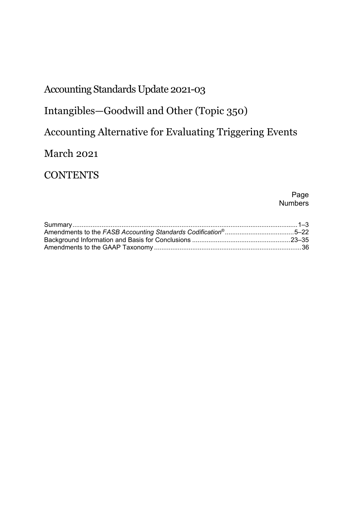## Accounting Standards Update 2021-03

## Intangibles—Goodwill and Other (Topic 350)

## Accounting Alternative for Evaluating Triggering Events

## March 2021

## **CONTENTS**

#### Page Numbers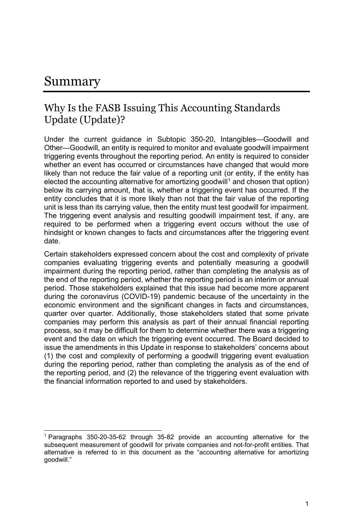## Summary

### Why Is the FASB Issuing This Accounting Standards Update (Update)?

Under the current guidance in Subtopic 350-20, Intangibles—Goodwill and Other—Goodwill, an entity is required to monitor and evaluate goodwill impairment triggering events throughout the reporting period. An entity is required to consider whether an event has occurred or circumstances have changed that would more likely than not reduce the fair value of a reporting unit (or entity, if the entity has elected the accounting alternative for amortizing goodwill<sup>1</sup> and chosen that option) below its carrying amount, that is, whether a triggering event has occurred. If the entity concludes that it is more likely than not that the fair value of the reporting unit is less than its carrying value, then the entity must test goodwill for impairment. The triggering event analysis and resulting goodwill impairment test, if any, are required to be performed when a triggering event occurs without the use of hindsight or known changes to facts and circumstances after the triggering event date.

Certain stakeholders expressed concern about the cost and complexity of private companies evaluating triggering events and potentially measuring a goodwill impairment during the reporting period, rather than completing the analysis as of the end of the reporting period, whether the reporting period is an interim or annual period. Those stakeholders explained that this issue had become more apparent during the coronavirus (COVID-19) pandemic because of the uncertainty in the economic environment and the significant changes in facts and circumstances, quarter over quarter. Additionally, those stakeholders stated that some private companies may perform this analysis as part of their annual financial reporting process, so it may be difficult for them to determine whether there was a triggering event and the date on which the triggering event occurred. The Board decided to issue the amendments in this Update in response to stakeholders' concerns about (1) the cost and complexity of performing a goodwill triggering event evaluation during the reporting period, rather than completing the analysis as of the end of the reporting period, and (2) the relevance of the triggering event evaluation with the financial information reported to and used by stakeholders.

<sup>1</sup> Paragraphs 350-20-35-62 through 35-82 provide an accounting alternative for the subsequent measurement of goodwill for private companies and not-for-profit entities. That alternative is referred to in this document as the "accounting alternative for amortizing goodwill."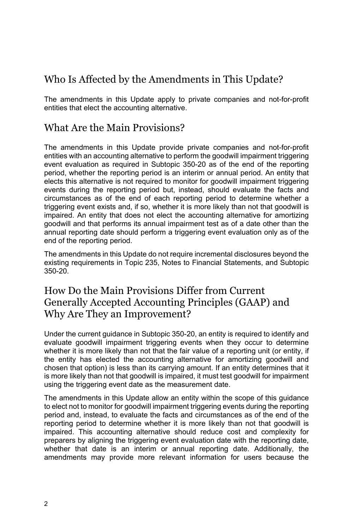## Who Is Affected by the Amendments in This Update?

The amendments in this Update apply to private companies and not-for-profit entities that elect the accounting alternative.

### What Are the Main Provisions?

The amendments in this Update provide private companies and not-for-profit entities with an accounting alternative to perform the goodwill impairment triggering event evaluation as required in Subtopic 350-20 as of the end of the reporting period, whether the reporting period is an interim or annual period. An entity that elects this alternative is not required to monitor for goodwill impairment triggering events during the reporting period but, instead, should evaluate the facts and circumstances as of the end of each reporting period to determine whether a triggering event exists and, if so, whether it is more likely than not that goodwill is impaired. An entity that does not elect the accounting alternative for amortizing goodwill and that performs its annual impairment test as of a date other than the annual reporting date should perform a triggering event evaluation only as of the end of the reporting period.

The amendments in this Update do not require incremental disclosures beyond the existing requirements in Topic 235, Notes to Financial Statements, and Subtopic 350-20.

### How Do the Main Provisions Differ from Current Generally Accepted Accounting Principles (GAAP) and Why Are They an Improvement?

Under the current guidance in Subtopic 350-20, an entity is required to identify and evaluate goodwill impairment triggering events when they occur to determine whether it is more likely than not that the fair value of a reporting unit (or entity, if the entity has elected the accounting alternative for amortizing goodwill and chosen that option) is less than its carrying amount. If an entity determines that it is more likely than not that goodwill is impaired, it must test goodwill for impairment using the triggering event date as the measurement date.

The amendments in this Update allow an entity within the scope of this guidance to elect not to monitor for goodwill impairment triggering events during the reporting period and, instead, to evaluate the facts and circumstances as of the end of the reporting period to determine whether it is more likely than not that goodwill is impaired. This accounting alternative should reduce cost and complexity for preparers by aligning the triggering event evaluation date with the reporting date, whether that date is an interim or annual reporting date. Additionally, the amendments may provide more relevant information for users because the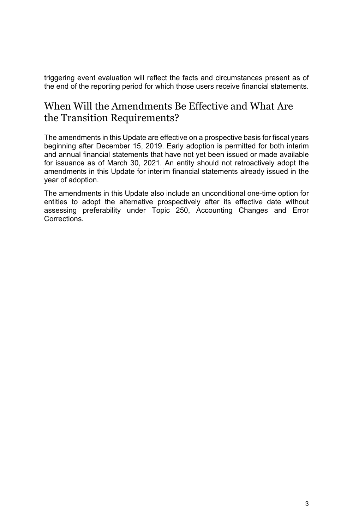triggering event evaluation will reflect the facts and circumstances present as of the end of the reporting period for which those users receive financial statements.

### When Will the Amendments Be Effective and What Are the Transition Requirements?

The amendments in this Update are effective on a prospective basis for fiscal years beginning after December 15, 2019. Early adoption is permitted for both interim and annual financial statements that have not yet been issued or made available for issuance as of March 30, 2021. An entity should not retroactively adopt the amendments in this Update for interim financial statements already issued in the year of adoption.

The amendments in this Update also include an unconditional one-time option for entities to adopt the alternative prospectively after its effective date without assessing preferability under Topic 250, Accounting Changes and Error Corrections.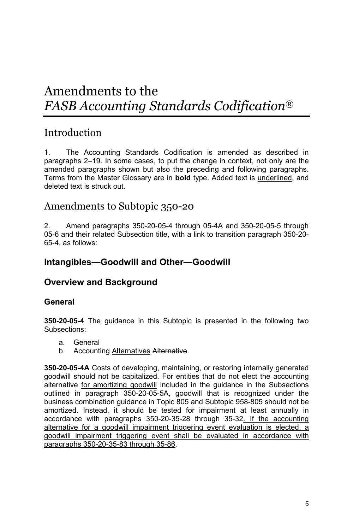# Amendments to the *FASB Accounting Standards Codification*®

### Introduction

1. The Accounting Standards Codification is amended as described in paragraphs 2–19. In some cases, to put the change in context, not only are the amended paragraphs shown but also the preceding and following paragraphs. Terms from the Master Glossary are in **bold** type. Added text is underlined, and deleted text is struck out.

### Amendments to Subtopic 350-20

2. Amend paragraphs 350-20-05-4 through 05-4A and 350-20-05-5 through 05-6 and their related Subsection title, with a link to transition paragraph 350-20- 65-4, as follows:

### **Intangibles—Goodwill and Other—Goodwill**

### **Overview and Background**

#### **General**

**350-20-05-4** The guidance in this Subtopic is presented in the following two Subsections:

- a. General
- b. Accounting Alternatives Alternative.

**350-20-05-4A** Costs of developing, maintaining, or restoring internally generated goodwill should not be capitalized. For entities that do not elect the accounting alternative for amortizing goodwill included in the guidance in the Subsections outlined in paragraph 350-20-05-5A, goodwill that is recognized under the business combination guidance in Topic 805 and Subtopic 958-805 should not be amortized. Instead, it should be tested for impairment at least annually in accordance with paragraphs 350-20-35-28 through 35-32. If the accounting alternative for a goodwill impairment triggering event evaluation is elected, a goodwill impairment triggering event shall be evaluated in accordance with paragraphs 350-20-35-83 through 35-86.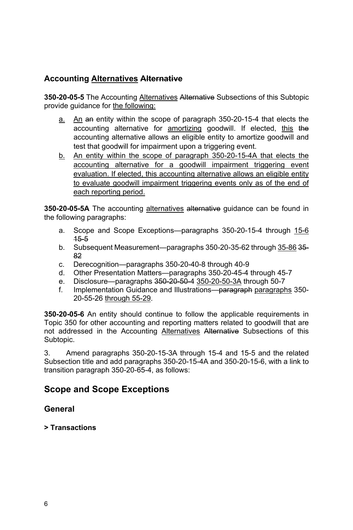#### **Accounting Alternatives Alternative**

**350-20-05-5** The Accounting Alternatives Alternative Subsections of this Subtopic provide guidance for the following:

- a. An an entity within the scope of paragraph 350-20-15-4 that elects the accounting alternative for **amortizing** goodwill. If elected, this the accounting alternative allows an eligible entity to amortize goodwill and test that goodwill for impairment upon a triggering event.
- b. An entity within the scope of paragraph 350-20-15-4A that elects the accounting alternative for a goodwill impairment triggering event evaluation. If elected, this accounting alternative allows an eligible entity to evaluate goodwill impairment triggering events only as of the end of each reporting period.

**350-20-05-5A** The accounting alternatives alternative guidance can be found in the following paragraphs:

- a. Scope and Scope Exceptions—paragraphs 350-20-15-4 through 15-6 15-5
- b. Subsequent Measurement—paragraphs 350-20-35-62 through 35-86 35- 82
- c. Derecognition—paragraphs 350-20-40-8 through 40-9
- d. Other Presentation Matters—paragraphs 350-20-45-4 through 45-7
- e. Disclosure—paragraphs 350-20-50-4 350-20-50-3A through 50-7
- f. Implementation Guidance and Illustrations—paragraph paragraphs 350-20-55-26 through 55-29.

**350-20-05-6** An entity should continue to follow the applicable requirements in Topic 350 for other accounting and reporting matters related to goodwill that are not addressed in the Accounting Alternatives Alternative Subsections of this Subtopic.

3. Amend paragraphs 350-20-15-3A through 15-4 and 15-5 and the related Subsection title and add paragraphs 350-20-15-4A and 350-20-15-6, with a link to transition paragraph 350-20-65-4, as follows:

### **Scope and Scope Exceptions**

#### **General**

#### **> Transactions**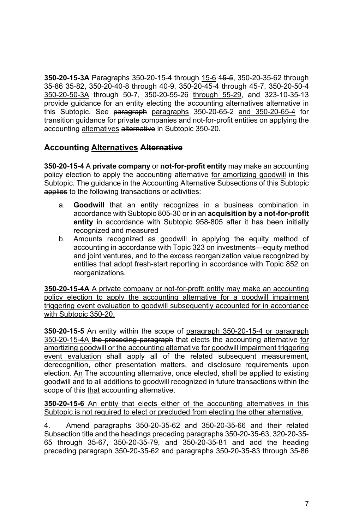**350-20-15-3A** Paragraphs 350-20-15-4 through 15-6 15-5, 350-20-35-62 through 35-86 35-82, 350-20-40-8 through 40-9, 350-20-45-4 through 45-7, 350-20-50-4 350-20-50-3A through 50-7, 350-20-55-26 through 55-29, and 323-10-35-13 provide guidance for an entity electing the accounting alternatives alternative in this Subtopic. See paragraph paragraphs 350-20-65-2 and 350-20-65-4 for transition guidance for private companies and not-for-profit entities on applying the accounting alternatives alternative in Subtopic 350-20.

#### **Accounting Alternatives Alternative**

**350-20-15-4** A **private company** or **not-for-profit entity** may make an accounting policy election to apply the accounting alternative for amortizing goodwill in this Subtopic. The guidance in the Accounting Alternative Subsections of this Subtopic applies to the following transactions or activities:

- a. **Goodwill** that an entity recognizes in a business combination in accordance with Subtopic 805-30 or in an **acquisition by a not-for-profit entity** in accordance with Subtopic 958-805 after it has been initially recognized and measured
- b. Amounts recognized as goodwill in applying the equity method of accounting in accordance with Topic 323 on investments—equity method and joint ventures, and to the excess reorganization value recognized by entities that adopt fresh-start reporting in accordance with Topic 852 on reorganizations.

**350-20-15-4A** A private company or not-for-profit entity may make an accounting policy election to apply the accounting alternative for a goodwill impairment triggering event evaluation to goodwill subsequently accounted for in accordance with Subtopic 350-20.

**350-20-15-5** An entity within the scope of paragraph 350-20-15-4 or paragraph 350-20-15-4A the preceding paragraph that elects the accounting alternative for amortizing goodwill or the accounting alternative for goodwill impairment triggering event evaluation shall apply all of the related subsequent measurement, derecognition, other presentation matters, and disclosure requirements upon election. An The accounting alternative, once elected, shall be applied to existing goodwill and to all additions to goodwill recognized in future transactions within the scope of this that accounting alternative.

**350-20-15-6** An entity that elects either of the accounting alternatives in this Subtopic is not required to elect or precluded from electing the other alternative.

4. Amend paragraphs 350-20-35-62 and 350-20-35-66 and their related Subsection title and the headings preceding paragraphs 350-20-35-63, 320-20-35- 65 through 35-67, 350-20-35-79, and 350-20-35-81 and add the heading preceding paragraph 350-20-35-62 and paragraphs 350-20-35-83 through 35-86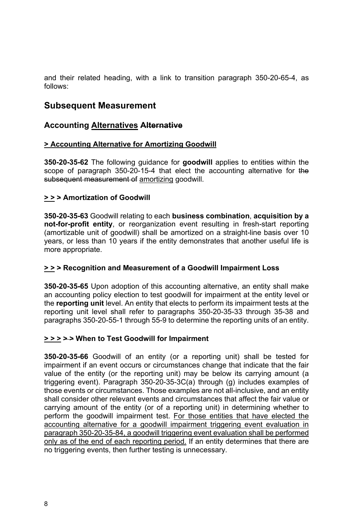and their related heading, with a link to transition paragraph 350-20-65-4, as follows:

### **Subsequent Measurement**

#### **Accounting Alternatives Alternative**

#### **> Accounting Alternative for Amortizing Goodwill**

**350-20-35-62** The following guidance for **goodwill** applies to entities within the scope of paragraph 350-20-15-4 that elect the accounting alternative for the subsequent measurement of amortizing goodwill.

#### **> > > Amortization of Goodwill**

**350-20-35-63** Goodwill relating to each **business combination**, **acquisition by a not-for-profit entity**, or reorganization event resulting in fresh-start reporting (amortizable unit of goodwill) shall be amortized on a straight-line basis over 10 years, or less than 10 years if the entity demonstrates that another useful life is more appropriate.

#### **> > > Recognition and Measurement of a Goodwill Impairment Loss**

**350-20-35-65** Upon adoption of this accounting alternative, an entity shall make an accounting policy election to test goodwill for impairment at the entity level or the **reporting unit** level. An entity that elects to perform its impairment tests at the reporting unit level shall refer to paragraphs 350-20-35-33 through 35-38 and paragraphs 350-20-55-1 through 55-9 to determine the reporting units of an entity.

#### **> > > > > When to Test Goodwill for Impairment**

**350-20-35-66** Goodwill of an entity (or a reporting unit) shall be tested for impairment if an event occurs or circumstances change that indicate that the fair value of the entity (or the reporting unit) may be below its carrying amount (a triggering event). Paragraph 350-20-35-3C(a) through (g) includes examples of those events or circumstances. Those examples are not all-inclusive, and an entity shall consider other relevant events and circumstances that affect the fair value or carrying amount of the entity (or of a reporting unit) in determining whether to perform the goodwill impairment test. For those entities that have elected the accounting alternative for a goodwill impairment triggering event evaluation in paragraph 350-20-35-84, a goodwill triggering event evaluation shall be performed only as of the end of each reporting period. If an entity determines that there are no triggering events, then further testing is unnecessary.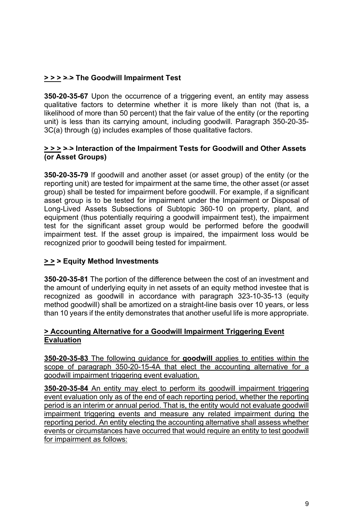#### **> > > > > The Goodwill Impairment Test**

**350-20-35-67** Upon the occurrence of a triggering event, an entity may assess qualitative factors to determine whether it is more likely than not (that is, a likelihood of more than 50 percent) that the fair value of the entity (or the reporting unit) is less than its carrying amount, including goodwill. Paragraph 350-20-35- 3C(a) through (g) includes examples of those qualitative factors.

#### **> > > > > Interaction of the Impairment Tests for Goodwill and Other Assets (or Asset Groups)**

**350-20-35-79** If goodwill and another asset (or asset group) of the entity (or the reporting unit) are tested for impairment at the same time, the other asset (or asset group) shall be tested for impairment before goodwill. For example, if a significant asset group is to be tested for impairment under the Impairment or Disposal of Long-Lived Assets Subsections of Subtopic 360-10 on property, plant, and equipment (thus potentially requiring a goodwill impairment test), the impairment test for the significant asset group would be performed before the goodwill impairment test. If the asset group is impaired, the impairment loss would be recognized prior to goodwill being tested for impairment.

#### **> > > Equity Method Investments**

**350-20-35-81** The portion of the difference between the cost of an investment and the amount of underlying equity in net assets of an equity method investee that is recognized as goodwill in accordance with paragraph 323-10-35-13 (equity method goodwill) shall be amortized on a straight-line basis over 10 years, or less than 10 years if the entity demonstrates that another useful life is more appropriate.

#### **> Accounting Alternative for a Goodwill Impairment Triggering Event Evaluation**

**350-20-35-83** The following guidance for **goodwill** applies to entities within the scope of paragraph 350-20-15-4A that elect the accounting alternative for a goodwill impairment triggering event evaluation.

**350-20-35-84** An entity may elect to perform its goodwill impairment triggering event evaluation only as of the end of each reporting period, whether the reporting period is an interim or annual period. That is, the entity would not evaluate goodwill impairment triggering events and measure any related impairment during the reporting period. An entity electing the accounting alternative shall assess whether events or circumstances have occurred that would require an entity to test goodwill for impairment as follows: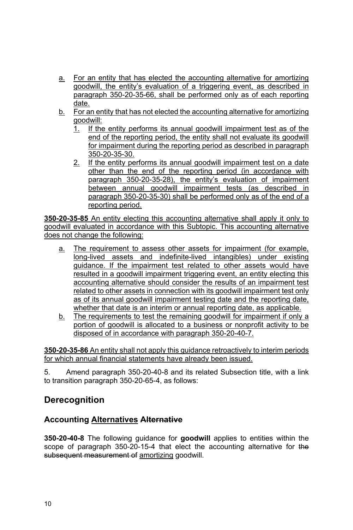- a. For an entity that has elected the accounting alternative for amortizing goodwill, the entity's evaluation of a triggering event, as described in paragraph 350-20-35-66, shall be performed only as of each reporting date.
- b. For an entity that has not elected the accounting alternative for amortizing goodwill:
	- 1. If the entity performs its annual goodwill impairment test as of the end of the reporting period, the entity shall not evaluate its goodwill for impairment during the reporting period as described in paragraph 350-20-35-30.
	- 2. If the entity performs its annual goodwill impairment test on a date other than the end of the reporting period (in accordance with paragraph 350-20-35-28), the entity's evaluation of impairment between annual goodwill impairment tests (as described in paragraph 350-20-35-30) shall be performed only as of the end of a reporting period.

**350-20-35-85** An entity electing this accounting alternative shall apply it only to goodwill evaluated in accordance with this Subtopic. This accounting alternative does not change the following:

- a. The requirement to assess other assets for impairment (for example, long-lived assets and indefinite-lived intangibles) under existing guidance. If the impairment test related to other assets would have resulted in a goodwill impairment triggering event, an entity electing this accounting alternative should consider the results of an impairment test related to other assets in connection with its goodwill impairment test only as of its annual goodwill impairment testing date and the reporting date, whether that date is an interim or annual reporting date, as applicable.
- b. The requirements to test the remaining goodwill for impairment if only a portion of goodwill is allocated to a business or nonprofit activity to be disposed of in accordance with paragraph 350-20-40-7.

**350-20-35-86** An entity shall not apply this guidance retroactively to interim periods for which annual financial statements have already been issued.

5. Amend paragraph 350-20-40-8 and its related Subsection title, with a link to transition paragraph 350-20-65-4, as follows:

### **Derecognition**

#### **Accounting Alternatives Alternative**

**350-20-40-8** The following guidance for **goodwill** applies to entities within the scope of paragraph 350-20-15-4 that elect the accounting alternative for the subsequent measurement of amortizing goodwill.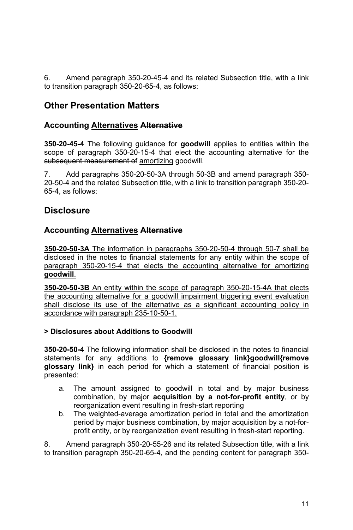6. Amend paragraph 350-20-45-4 and its related Subsection title, with a link to transition paragraph 350-20-65-4, as follows:

### **Other Presentation Matters**

#### **Accounting Alternatives Alternative**

**350-20-45-4** The following guidance for **goodwill** applies to entities within the scope of paragraph 350-20-15-4 that elect the accounting alternative for the subsequent measurement of amortizing goodwill.

7. Add paragraphs 350-20-50-3A through 50-3B and amend paragraph 350- 20-50-4 and the related Subsection title, with a link to transition paragraph 350-20- 65-4, as follows:

### **Disclosure**

#### **Accounting Alternatives Alternative**

**350-20-50-3A** The information in paragraphs 350-20-50-4 through 50-7 shall be disclosed in the notes to financial statements for any entity within the scope of paragraph 350-20-15-4 that elects the accounting alternative for amortizing **goodwill**.

**350-20-50-3B** An entity within the scope of paragraph 350-20-15-4A that elects the accounting alternative for a goodwill impairment triggering event evaluation shall disclose its use of the alternative as a significant accounting policy in accordance with paragraph 235-10-50-1.

#### **> Disclosures about Additions to Goodwill**

**350-20-50-4** The following information shall be disclosed in the notes to financial statements for any additions to **{remove glossary link}goodwill{remove glossary link}** in each period for which a statement of financial position is presented:

- a. The amount assigned to goodwill in total and by major business combination, by major **acquisition by a not-for-profit entity**, or by reorganization event resulting in fresh-start reporting
- b. The weighted-average amortization period in total and the amortization period by major business combination, by major acquisition by a not-forprofit entity, or by reorganization event resulting in fresh-start reporting.

8. Amend paragraph 350-20-55-26 and its related Subsection title, with a link to transition paragraph 350-20-65-4, and the pending content for paragraph 350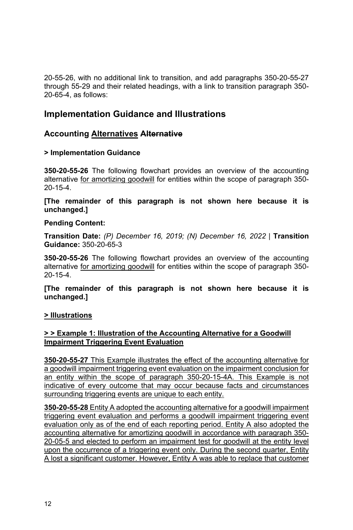20-55-26, with no additional link to transition, and add paragraphs 350-20-55-27 through 55-29 and their related headings, with a link to transition paragraph 350- 20-65-4, as follows:

### **Implementation Guidance and Illustrations**

#### **Accounting Alternatives Alternative**

#### **> Implementation Guidance**

**350-20-55-26** The following flowchart provides an overview of the accounting alternative for amortizing goodwill for entities within the scope of paragraph 350- 20-15-4.

**[The remainder of this paragraph is not shown here because it is unchanged.]** 

#### **Pending Content:**

**Transition Date:** *(P) December 16, 2019; (N) December 16, 2022* | **Transition Guidance:** 350-20-65-3

**350-20-55-26** The following flowchart provides an overview of the accounting alternative for amortizing goodwill for entities within the scope of paragraph 350- 20-15-4.

**[The remainder of this paragraph is not shown here because it is unchanged.]** 

#### **> Illustrations**

#### **> > Example 1: Illustration of the Accounting Alternative for a Goodwill Impairment Triggering Event Evaluation**

**350-20-55-27** This Example illustrates the effect of the accounting alternative for a goodwill impairment triggering event evaluation on the impairment conclusion for an entity within the scope of paragraph 350-20-15-4A. This Example is not indicative of every outcome that may occur because facts and circumstances surrounding triggering events are unique to each entity.

**350-20-55-28** Entity A adopted the accounting alternative for a goodwill impairment triggering event evaluation and performs a goodwill impairment triggering event evaluation only as of the end of each reporting period. Entity A also adopted the accounting alternative for amortizing goodwill in accordance with paragraph 350- 20-05-5 and elected to perform an impairment test for goodwill at the entity level upon the occurrence of a triggering event only. During the second quarter, Entity A lost a significant customer. However, Entity A was able to replace that customer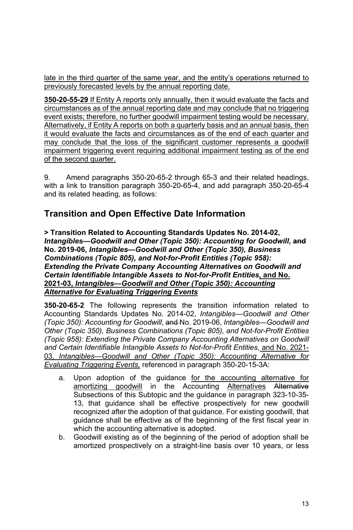late in the third quarter of the same year, and the entity's operations returned to previously forecasted levels by the annual reporting date.

**350-20-55-29** If Entity A reports only annually, then it would evaluate the facts and circumstances as of the annual reporting date and may conclude that no triggering event exists; therefore, no further goodwill impairment testing would be necessary. Alternatively, if Entity A reports on both a quarterly basis and an annual basis, then it would evaluate the facts and circumstances as of the end of each quarter and may conclude that the loss of the significant customer represents a goodwill impairment triggering event requiring additional impairment testing as of the end of the second quarter.

9. Amend paragraphs 350-20-65-2 through 65-3 and their related headings, with a link to transition paragraph 350-20-65-4, and add paragraph 350-20-65-4 and its related heading, as follows:

### **Transition and Open Effective Date Information**

**> Transition Related to Accounting Standards Updates No. 2014-02,**  *Intangibles—Goodwill and Other (Topic 350): Accounting for Goodwill***, and No. 2019-06,** *Intangibles—Goodwill and Other (Topic 350), Business Combinations (Topic 805), and Not-for-Profit Entities (Topic 958): Extending the Private Company Accounting Alternatives on Goodwill and Certain Identifiable Intangible Assets to Not-for-Profit Entities***, and No. 2021-03,** *Intangibles—Goodwill and Other (Topic 350): Accounting Alternative for Evaluating Triggering Events*

**350-20-65-2** The following represents the transition information related to Accounting Standards Updates No. 2014-02, *Intangibles—Goodwill and Other (Topic 350): Accounting for Goodwill*, and No. 2019-06, *Intangibles—Goodwill and Other (Topic 350), Business Combinations (Topic 805), and Not-for-Profit Entities (Topic 958): Extending the Private Company Accounting Alternatives on Goodwill and Certain Identifiable Intangible Assets to Not-for-Profit Entities*, and No. 2021- 03, *Intangibles—Goodwill and Other (Topic 350): Accounting Alternative for Evaluating Triggering Events,* referenced in paragraph 350-20-15-3A:

- a. Upon adoption of the guidance for the accounting alternative for amortizing goodwill in the Accounting Alternatives Alternative Subsections of this Subtopic and the guidance in paragraph 323-10-35- 13, that guidance shall be effective prospectively for new goodwill recognized after the adoption of that guidance. For existing goodwill, that guidance shall be effective as of the beginning of the first fiscal year in which the accounting alternative is adopted.
- b. Goodwill existing as of the beginning of the period of adoption shall be amortized prospectively on a straight-line basis over 10 years, or less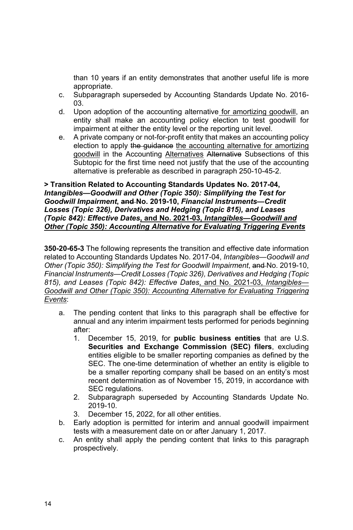than 10 years if an entity demonstrates that another useful life is more appropriate.

- c. Subparagraph superseded by Accounting Standards Update No. 2016- 03.
- d. Upon adoption of the accounting alternative for amortizing goodwill, an entity shall make an accounting policy election to test goodwill for impairment at either the entity level or the reporting unit level.
- e. A private company or not-for-profit entity that makes an accounting policy election to apply the guidance the accounting alternative for amortizing goodwill in the Accounting Alternatives Alternative Subsections of this Subtopic for the first time need not justify that the use of the accounting alternative is preferable as described in paragraph 250-10-45-2.

**> Transition Related to Accounting Standards Updates No. 2017-04,**  *Intangibles—Goodwill and Other (Topic 350): Simplifying the Test for Goodwill Impairment***, and No. 2019-10,** *Financial Instruments—Credit Losses (Topic 326), Derivatives and Hedging (Topic 815), and Leases (Topic 842): Effective Dates***, and No. 2021-03,** *Intangibles—Goodwill and Other (Topic 350): Accounting Alternative for Evaluating Triggering Events*

**350-20-65-3** The following represents the transition and effective date information related to Accounting Standards Updates No. 2017-04, *Intangibles—Goodwill and Other (Topic 350): Simplifying the Test for Goodwill Impairment*, and No. 2019-10, *Financial Instruments—Credit Losses (Topic 326), Derivatives and Hedging (Topic 815), and Leases (Topic 842): Effective Dates*, and No. 2021-03, *Intangibles— Goodwill and Other (Topic 350): Accounting Alternative for Evaluating Triggering Events*:

- a. The pending content that links to this paragraph shall be effective for annual and any interim impairment tests performed for periods beginning after:
	- 1. December 15, 2019, for **public business entities** that are U.S. **Securities and Exchange Commission (SEC) filers**, excluding entities eligible to be smaller reporting companies as defined by the SEC. The one-time determination of whether an entity is eligible to be a smaller reporting company shall be based on an entity's most recent determination as of November 15, 2019, in accordance with SEC regulations.
	- 2. Subparagraph superseded by Accounting Standards Update No. 2019-10.
	- 3. December 15, 2022, for all other entities.
- b. Early adoption is permitted for interim and annual goodwill impairment tests with a measurement date on or after January 1, 2017.
- c. An entity shall apply the pending content that links to this paragraph prospectively.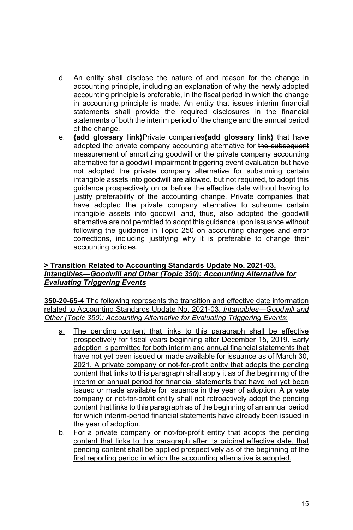- d. An entity shall disclose the nature of and reason for the change in accounting principle, including an explanation of why the newly adopted accounting principle is preferable, in the fiscal period in which the change in accounting principle is made. An entity that issues interim financial statements shall provide the required disclosures in the financial statements of both the interim period of the change and the annual period of the change.
- e. **{add glossary link}**Private companies**{add glossary link}** that have adopted the private company accounting alternative for the subsequent measurement of amortizing goodwill or the private company accounting alternative for a goodwill impairment triggering event evaluation but have not adopted the private company alternative for subsuming certain intangible assets into goodwill are allowed, but not required, to adopt this guidance prospectively on or before the effective date without having to justify preferability of the accounting change. Private companies that have adopted the private company alternative to subsume certain intangible assets into goodwill and, thus, also adopted the goodwill alternative are not permitted to adopt this guidance upon issuance without following the guidance in Topic 250 on accounting changes and error corrections, including justifying why it is preferable to change their accounting policies.

#### **> Transition Related to Accounting Standards Update No. 2021-03,**  *Intangibles—Goodwill and Other (Topic 350): Accounting Alternative for Evaluating Triggering Events*

**350-20-65-4** The following represents the transition and effective date information related to Accounting Standards Update No. 2021-03, *Intangibles—Goodwill and Other (Topic 350): Accounting Alternative for Evaluating Triggering Events*:

- a. The pending content that links to this paragraph shall be effective prospectively for fiscal years beginning after December 15, 2019. Early adoption is permitted for both interim and annual financial statements that have not yet been issued or made available for issuance as of March 30, 2021. A private company or not-for-profit entity that adopts the pending content that links to this paragraph shall apply it as of the beginning of the interim or annual period for financial statements that have not yet been issued or made available for issuance in the year of adoption. A private company or not-for-profit entity shall not retroactively adopt the pending content that links to this paragraph as of the beginning of an annual period for which interim-period financial statements have already been issued in the year of adoption.
- b. For a private company or not-for-profit entity that adopts the pending content that links to this paragraph after its original effective date, that pending content shall be applied prospectively as of the beginning of the first reporting period in which the accounting alternative is adopted.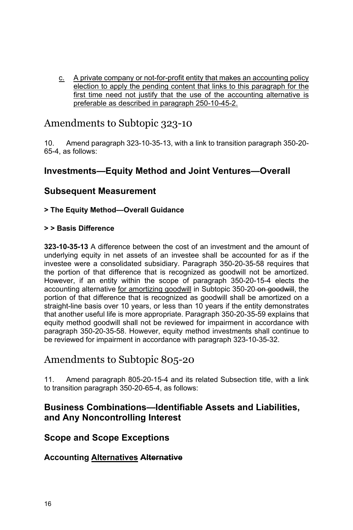c. A private company or not-for-profit entity that makes an accounting policy election to apply the pending content that links to this paragraph for the first time need not justify that the use of the accounting alternative is preferable as described in paragraph 250-10-45-2.

### Amendments to Subtopic 323-10

10. Amend paragraph 323-10-35-13, with a link to transition paragraph 350-20- 65-4, as follows:

### **Investments—Equity Method and Joint Ventures—Overall**

### **Subsequent Measurement**

#### **> The Equity Method—Overall Guidance**

#### **> > Basis Difference**

**323-10-35-13** A difference between the cost of an investment and the amount of underlying equity in net assets of an investee shall be accounted for as if the investee were a consolidated subsidiary. Paragraph 350-20-35-58 requires that the portion of that difference that is recognized as goodwill not be amortized. However, if an entity within the scope of paragraph 350-20-15-4 elects the accounting alternative for amortizing goodwill in Subtopic 350-20-on good will, the portion of that difference that is recognized as goodwill shall be amortized on a straight-line basis over 10 years, or less than 10 years if the entity demonstrates that another useful life is more appropriate. Paragraph 350-20-35-59 explains that equity method goodwill shall not be reviewed for impairment in accordance with paragraph 350-20-35-58. However, equity method investments shall continue to be reviewed for impairment in accordance with paragraph 323-10-35-32.

### Amendments to Subtopic 805-20

11. Amend paragraph 805-20-15-4 and its related Subsection title, with a link to transition paragraph 350-20-65-4, as follows:

### **Business Combinations—Identifiable Assets and Liabilities, and Any Noncontrolling Interest**

#### **Scope and Scope Exceptions**

#### **Accounting Alternatives Alternative**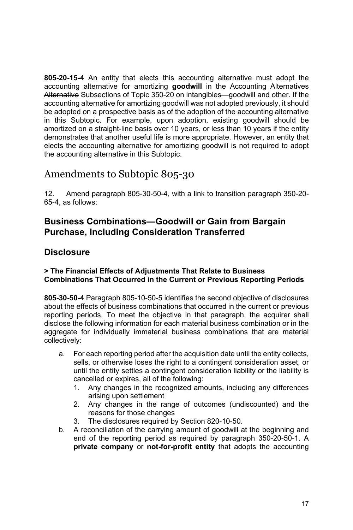**805-20-15-4** An entity that elects this accounting alternative must adopt the accounting alternative for amortizing **goodwill** in the Accounting Alternatives Alternative Subsections of Topic 350-20 on intangibles—goodwill and other. If the accounting alternative for amortizing goodwill was not adopted previously, it should be adopted on a prospective basis as of the adoption of the accounting alternative in this Subtopic. For example, upon adoption, existing goodwill should be amortized on a straight-line basis over 10 years, or less than 10 years if the entity demonstrates that another useful life is more appropriate. However, an entity that elects the accounting alternative for amortizing goodwill is not required to adopt the accounting alternative in this Subtopic.

## Amendments to Subtopic 805-30

12. Amend paragraph 805-30-50-4, with a link to transition paragraph 350-20- 65-4, as follows:

### **Business Combinations—Goodwill or Gain from Bargain Purchase, Including Consideration Transferred**

### **Disclosure**

#### **> The Financial Effects of Adjustments That Relate to Business Combinations That Occurred in the Current or Previous Reporting Periods**

**805-30-50-4** Paragraph 805-10-50-5 identifies the second objective of disclosures about the effects of business combinations that occurred in the current or previous reporting periods. To meet the objective in that paragraph, the acquirer shall disclose the following information for each material business combination or in the aggregate for individually immaterial business combinations that are material collectively:

- a. For each reporting period after the acquisition date until the entity collects, sells, or otherwise loses the right to a contingent consideration asset, or until the entity settles a contingent consideration liability or the liability is cancelled or expires, all of the following:
	- 1. Any changes in the recognized amounts, including any differences arising upon settlement
	- 2. Any changes in the range of outcomes (undiscounted) and the reasons for those changes
	- 3. The disclosures required by Section 820-10-50.
- b. A reconciliation of the carrying amount of goodwill at the beginning and end of the reporting period as required by paragraph 350-20-50-1. A **private company** or **not-for-profit entity** that adopts the accounting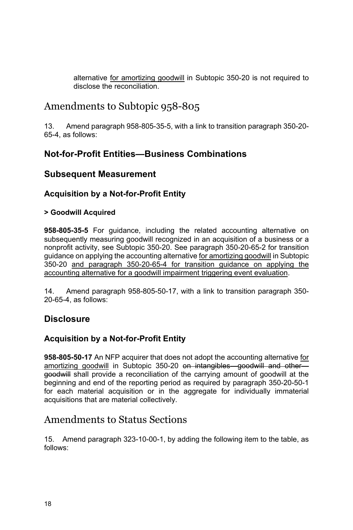alternative for amortizing goodwill in Subtopic 350-20 is not required to disclose the reconciliation.

## Amendments to Subtopic 958-805

13. Amend paragraph 958-805-35-5, with a link to transition paragraph 350-20- 65-4, as follows:

### **Not-for-Profit Entities—Business Combinations**

### **Subsequent Measurement**

### **Acquisition by a Not-for-Profit Entity**

#### **> Goodwill Acquired**

**958-805-35-5** For guidance, including the related accounting alternative on subsequently measuring goodwill recognized in an acquisition of a business or a nonprofit activity, see Subtopic 350-20. See paragraph 350-20-65-2 for transition guidance on applying the accounting alternative for amortizing goodwill in Subtopic 350-20 and paragraph 350-20-65-4 for transition guidance on applying the accounting alternative for a goodwill impairment triggering event evaluation.

14. Amend paragraph 958-805-50-17, with a link to transition paragraph 350- 20-65-4, as follows:

### **Disclosure**

### **Acquisition by a Not-for-Profit Entity**

**958-805-50-17** An NFP acquirer that does not adopt the accounting alternative for amortizing goodwill in Subtopic 350-20 on intangibles goodwill and other goodwill shall provide a reconciliation of the carrying amount of goodwill at the beginning and end of the reporting period as required by paragraph 350-20-50-1 for each material acquisition or in the aggregate for individually immaterial acquisitions that are material collectively.

### Amendments to Status Sections

15. Amend paragraph 323-10-00-1, by adding the following item to the table, as follows: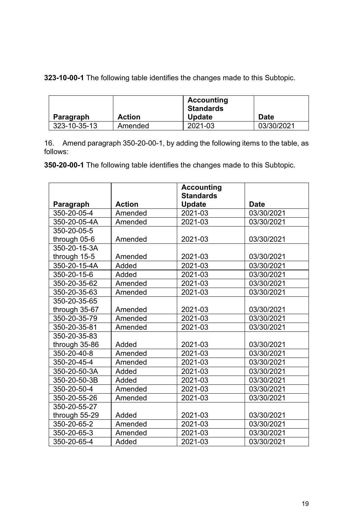**323-10-00-1** The following table identifies the changes made to this Subtopic.

|              |               | Accounting<br>Standards |            |
|--------------|---------------|-------------------------|------------|
| Paragraph    | <b>Action</b> | <b>Update</b>           | Date       |
| 323-10-35-13 | Amended       | 2021-03                 | 03/30/2021 |

16. Amend paragraph 350-20-00-1, by adding the following items to the table, as follows:

**350-20-00-1** The following table identifies the changes made to this Subtopic.

|               |               | <b>Accounting</b> |             |
|---------------|---------------|-------------------|-------------|
|               |               | <b>Standards</b>  |             |
| Paragraph     | <b>Action</b> | <b>Update</b>     | <b>Date</b> |
| 350-20-05-4   | Amended       | 2021-03           | 03/30/2021  |
| 350-20-05-4A  | Amended       | 2021-03           | 03/30/2021  |
| 350-20-05-5   |               |                   |             |
| through 05-6  | Amended       | 2021-03           | 03/30/2021  |
| 350-20-15-3A  |               |                   |             |
| through 15-5  | Amended       | 2021-03           | 03/30/2021  |
| 350-20-15-4A  | Added         | 2021-03           | 03/30/2021  |
| 350-20-15-6   | Added         | 2021-03           | 03/30/2021  |
| 350-20-35-62  | Amended       | 2021-03           | 03/30/2021  |
| 350-20-35-63  | Amended       | 2021-03           | 03/30/2021  |
| 350-20-35-65  |               |                   |             |
| through 35-67 | Amended       | 2021-03           | 03/30/2021  |
| 350-20-35-79  | Amended       | 2021-03           | 03/30/2021  |
| 350-20-35-81  | Amended       | 2021-03           | 03/30/2021  |
| 350-20-35-83  |               |                   |             |
| through 35-86 | Added         | 2021-03           | 03/30/2021  |
| 350-20-40-8   | Amended       | 2021-03           | 03/30/2021  |
| 350-20-45-4   | Amended       | 2021-03           | 03/30/2021  |
| 350-20-50-3A  | Added         | 2021-03           | 03/30/2021  |
| 350-20-50-3B  | Added         | 2021-03           | 03/30/2021  |
| 350-20-50-4   | Amended       | 2021-03           | 03/30/2021  |
| 350-20-55-26  | Amended       | 2021-03           | 03/30/2021  |
| 350-20-55-27  |               |                   |             |
| through 55-29 | Added         | 2021-03           | 03/30/2021  |
| 350-20-65-2   | Amended       | 2021-03           | 03/30/2021  |
| 350-20-65-3   | Amended       | 2021-03           | 03/30/2021  |
| 350-20-65-4   | Added         | 2021-03           | 03/30/2021  |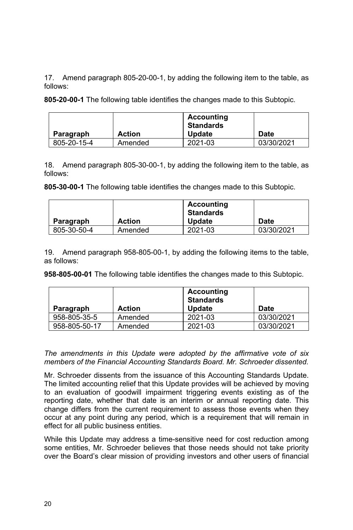17. Amend paragraph 805-20-00-1, by adding the following item to the table, as follows:

**805-20-00-1** The following table identifies the changes made to this Subtopic.

|             |               | Accounting<br>Standards |             |
|-------------|---------------|-------------------------|-------------|
| Paragraph   | <b>Action</b> | <b>Update</b>           | <b>Date</b> |
| 805-20-15-4 | Amended       | 2021-03                 | 03/30/2021  |

18. Amend paragraph 805-30-00-1, by adding the following item to the table, as follows:

**805-30-00-1** The following table identifies the changes made to this Subtopic.

|             |               | Accounting<br><b>Standards</b> |             |
|-------------|---------------|--------------------------------|-------------|
| Paragraph   | <b>Action</b> | <b>Update</b>                  | <b>Date</b> |
| 805-30-50-4 | Amended       | 2021-03                        | 03/30/2021  |

19. Amend paragraph 958-805-00-1, by adding the following items to the table, as follows:

**958-805-00-01** The following table identifies the changes made to this Subtopic.

| Paragraph     | <b>Action</b> | <b>Accounting</b><br><b>Standards</b><br><b>Update</b> | <b>Date</b> |
|---------------|---------------|--------------------------------------------------------|-------------|
| 958-805-35-5  | Amended       | 2021-03                                                | 03/30/2021  |
| 958-805-50-17 | Amended       | 2021-03                                                | 03/30/2021  |

*The amendments in this Update were adopted by the affirmative vote of six members of the Financial Accounting Standards Board. Mr. Schroeder dissented.* 

Mr. Schroeder dissents from the issuance of this Accounting Standards Update. The limited accounting relief that this Update provides will be achieved by moving to an evaluation of goodwill impairment triggering events existing as of the reporting date, whether that date is an interim or annual reporting date. This change differs from the current requirement to assess those events when they occur at any point during any period, which is a requirement that will remain in effect for all public business entities.

While this Update may address a time-sensitive need for cost reduction among some entities, Mr. Schroeder believes that those needs should not take priority over the Board's clear mission of providing investors and other users of financial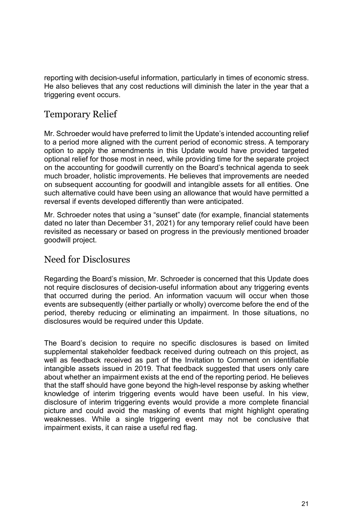reporting with decision-useful information, particularly in times of economic stress. He also believes that any cost reductions will diminish the later in the year that a triggering event occurs.

### Temporary Relief

Mr. Schroeder would have preferred to limit the Update's intended accounting relief to a period more aligned with the current period of economic stress. A temporary option to apply the amendments in this Update would have provided targeted optional relief for those most in need, while providing time for the separate project on the accounting for goodwill currently on the Board's technical agenda to seek much broader, holistic improvements. He believes that improvements are needed on subsequent accounting for goodwill and intangible assets for all entities. One such alternative could have been using an allowance that would have permitted a reversal if events developed differently than were anticipated.

Mr. Schroeder notes that using a "sunset" date (for example, financial statements dated no later than December 31, 2021) for any temporary relief could have been revisited as necessary or based on progress in the previously mentioned broader goodwill project.

### Need for Disclosures

Regarding the Board's mission, Mr. Schroeder is concerned that this Update does not require disclosures of decision-useful information about any triggering events that occurred during the period. An information vacuum will occur when those events are subsequently (either partially or wholly) overcome before the end of the period, thereby reducing or eliminating an impairment. In those situations, no disclosures would be required under this Update.

The Board's decision to require no specific disclosures is based on limited supplemental stakeholder feedback received during outreach on this project, as well as feedback received as part of the Invitation to Comment on identifiable intangible assets issued in 2019. That feedback suggested that users only care about whether an impairment exists at the end of the reporting period. He believes that the staff should have gone beyond the high-level response by asking whether knowledge of interim triggering events would have been useful. In his view, disclosure of interim triggering events would provide a more complete financial picture and could avoid the masking of events that might highlight operating weaknesses. While a single triggering event may not be conclusive that impairment exists, it can raise a useful red flag.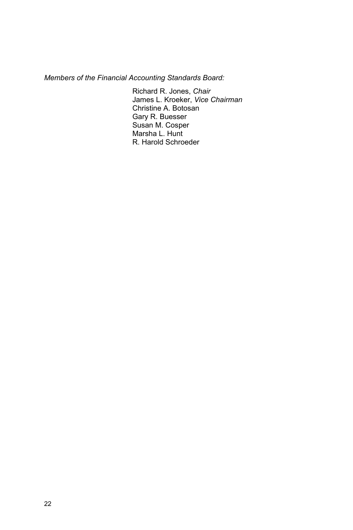*Members of the Financial Accounting Standards Board:* 

Richard R. Jones, *Chair*  James L. Kroeker, *Vice Chairman* Christine A. Botosan Gary R. Buesser Susan M. Cosper Marsha L. Hunt R. Harold Schroeder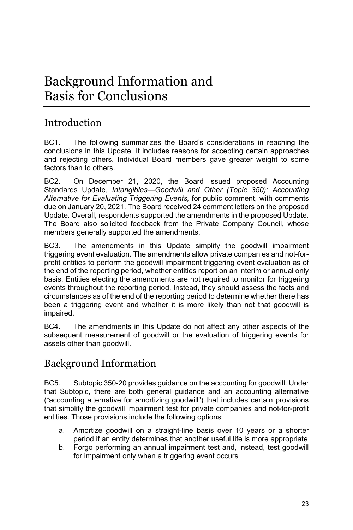# Background Information and Basis for Conclusions

## Introduction

BC1. The following summarizes the Board's considerations in reaching the conclusions in this Update. It includes reasons for accepting certain approaches and rejecting others. Individual Board members gave greater weight to some factors than to others.

BC2. On December 21, 2020, the Board issued proposed Accounting Standards Update, *Intangibles—Goodwill and Other (Topic 350): Accounting Alternative for Evaluating Triggering Events,* for public comment, with comments due on January 20, 2021. The Board received 24 comment letters on the proposed Update. Overall, respondents supported the amendments in the proposed Update. The Board also solicited feedback from the Private Company Council, whose members generally supported the amendments.

BC3. The amendments in this Update simplify the goodwill impairment triggering event evaluation. The amendments allow private companies and not-forprofit entities to perform the goodwill impairment triggering event evaluation as of the end of the reporting period, whether entities report on an interim or annual only basis. Entities electing the amendments are not required to monitor for triggering events throughout the reporting period. Instead, they should assess the facts and circumstances as of the end of the reporting period to determine whether there has been a triggering event and whether it is more likely than not that goodwill is impaired.

BC4. The amendments in this Update do not affect any other aspects of the subsequent measurement of goodwill or the evaluation of triggering events for assets other than goodwill.

## Background Information

BC5. Subtopic 350-20 provides guidance on the accounting for goodwill. Under that Subtopic, there are both general guidance and an accounting alternative ("accounting alternative for amortizing goodwill") that includes certain provisions that simplify the goodwill impairment test for private companies and not-for-profit entities. Those provisions include the following options:

- a. Amortize goodwill on a straight-line basis over 10 years or a shorter period if an entity determines that another useful life is more appropriate
- b. Forgo performing an annual impairment test and, instead, test goodwill for impairment only when a triggering event occurs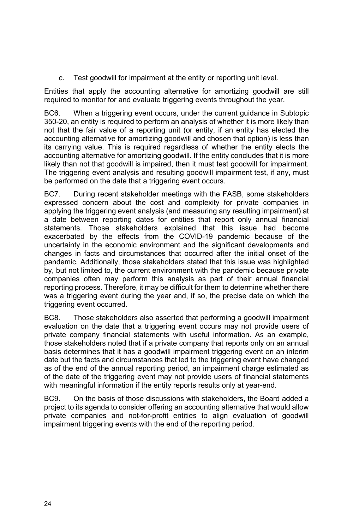c. Test goodwill for impairment at the entity or reporting unit level.

Entities that apply the accounting alternative for amortizing goodwill are still required to monitor for and evaluate triggering events throughout the year.

BC6. When a triggering event occurs, under the current guidance in Subtopic 350-20, an entity is required to perform an analysis of whether it is more likely than not that the fair value of a reporting unit (or entity, if an entity has elected the accounting alternative for amortizing goodwill and chosen that option) is less than its carrying value. This is required regardless of whether the entity elects the accounting alternative for amortizing goodwill. If the entity concludes that it is more likely than not that goodwill is impaired, then it must test goodwill for impairment. The triggering event analysis and resulting goodwill impairment test, if any, must be performed on the date that a triggering event occurs.

BC7. During recent stakeholder meetings with the FASB, some stakeholders expressed concern about the cost and complexity for private companies in applying the triggering event analysis (and measuring any resulting impairment) at a date between reporting dates for entities that report only annual financial statements. Those stakeholders explained that this issue had become exacerbated by the effects from the COVID-19 pandemic because of the uncertainty in the economic environment and the significant developments and changes in facts and circumstances that occurred after the initial onset of the pandemic. Additionally, those stakeholders stated that this issue was highlighted by, but not limited to, the current environment with the pandemic because private companies often may perform this analysis as part of their annual financial reporting process. Therefore, it may be difficult for them to determine whether there was a triggering event during the year and, if so, the precise date on which the triggering event occurred.

BC8. Those stakeholders also asserted that performing a goodwill impairment evaluation on the date that a triggering event occurs may not provide users of private company financial statements with useful information. As an example, those stakeholders noted that if a private company that reports only on an annual basis determines that it has a goodwill impairment triggering event on an interim date but the facts and circumstances that led to the triggering event have changed as of the end of the annual reporting period, an impairment charge estimated as of the date of the triggering event may not provide users of financial statements with meaningful information if the entity reports results only at year-end.

BC9. On the basis of those discussions with stakeholders, the Board added a project to its agenda to consider offering an accounting alternative that would allow private companies and not-for-profit entities to align evaluation of goodwill impairment triggering events with the end of the reporting period.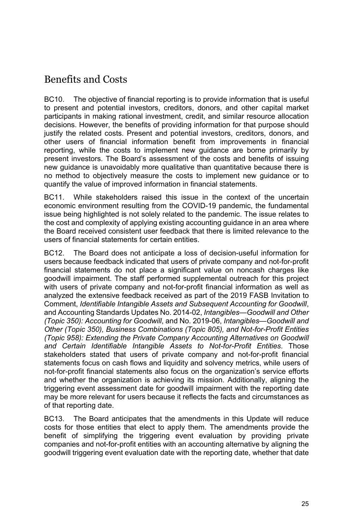## Benefits and Costs

BC10. The objective of financial reporting is to provide information that is useful to present and potential investors, creditors, donors, and other capital market participants in making rational investment, credit, and similar resource allocation decisions. However, the benefits of providing information for that purpose should justify the related costs. Present and potential investors, creditors, donors, and other users of financial information benefit from improvements in financial reporting, while the costs to implement new guidance are borne primarily by present investors. The Board's assessment of the costs and benefits of issuing new guidance is unavoidably more qualitative than quantitative because there is no method to objectively measure the costs to implement new guidance or to quantify the value of improved information in financial statements.

BC11. While stakeholders raised this issue in the context of the uncertain economic environment resulting from the COVID-19 pandemic, the fundamental issue being highlighted is not solely related to the pandemic. The issue relates to the cost and complexity of applying existing accounting guidance in an area where the Board received consistent user feedback that there is limited relevance to the users of financial statements for certain entities.

BC12. The Board does not anticipate a loss of decision-useful information for users because feedback indicated that users of private company and not-for-profit financial statements do not place a significant value on noncash charges like goodwill impairment. The staff performed supplemental outreach for this project with users of private company and not-for-profit financial information as well as analyzed the extensive feedback received as part of the 2019 FASB Invitation to Comment, *Identifiable Intangible Assets and Subsequent Accounting for Goodwill*, and Accounting Standards Updates No. 2014-02, *Intangibles—Goodwill and Other (Topic 350): Accounting for Goodwill*, and No. 2019-06, *Intangibles—Goodwill and Other (Topic 350), Business Combinations (Topic 805), and Not-for-Profit Entities (Topic 958): Extending the Private Company Accounting Alternatives on Goodwill and Certain Identifiable Intangible Assets to Not-for-Profit Entities*. Those stakeholders stated that users of private company and not-for-profit financial statements focus on cash flows and liquidity and solvency metrics, while users of not-for-profit financial statements also focus on the organization's service efforts and whether the organization is achieving its mission. Additionally, aligning the triggering event assessment date for goodwill impairment with the reporting date may be more relevant for users because it reflects the facts and circumstances as of that reporting date.

BC13. The Board anticipates that the amendments in this Update will reduce costs for those entities that elect to apply them. The amendments provide the benefit of simplifying the triggering event evaluation by providing private companies and not-for-profit entities with an accounting alternative by aligning the goodwill triggering event evaluation date with the reporting date, whether that date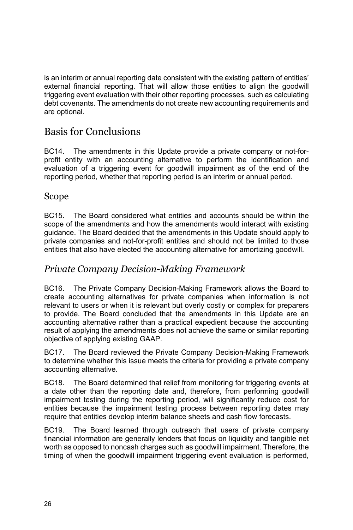is an interim or annual reporting date consistent with the existing pattern of entities' external financial reporting. That will allow those entities to align the goodwill triggering event evaluation with their other reporting processes, such as calculating debt covenants. The amendments do not create new accounting requirements and are optional.

### Basis for Conclusions

BC14. The amendments in this Update provide a private company or not-forprofit entity with an accounting alternative to perform the identification and evaluation of a triggering event for goodwill impairment as of the end of the reporting period, whether that reporting period is an interim or annual period.

### Scope

BC15. The Board considered what entities and accounts should be within the scope of the amendments and how the amendments would interact with existing guidance. The Board decided that the amendments in this Update should apply to private companies and not-for-profit entities and should not be limited to those entities that also have elected the accounting alternative for amortizing goodwill.

### *Private Company Decision-Making Framework*

BC16. The Private Company Decision-Making Framework allows the Board to create accounting alternatives for private companies when information is not relevant to users or when it is relevant but overly costly or complex for preparers to provide. The Board concluded that the amendments in this Update are an accounting alternative rather than a practical expedient because the accounting result of applying the amendments does not achieve the same or similar reporting objective of applying existing GAAP.

BC17. The Board reviewed the Private Company Decision-Making Framework to determine whether this issue meets the criteria for providing a private company accounting alternative.

BC18. The Board determined that relief from monitoring for triggering events at a date other than the reporting date and, therefore, from performing goodwill impairment testing during the reporting period, will significantly reduce cost for entities because the impairment testing process between reporting dates may require that entities develop interim balance sheets and cash flow forecasts.

BC19. The Board learned through outreach that users of private company financial information are generally lenders that focus on liquidity and tangible net worth as opposed to noncash charges such as goodwill impairment. Therefore, the timing of when the goodwill impairment triggering event evaluation is performed,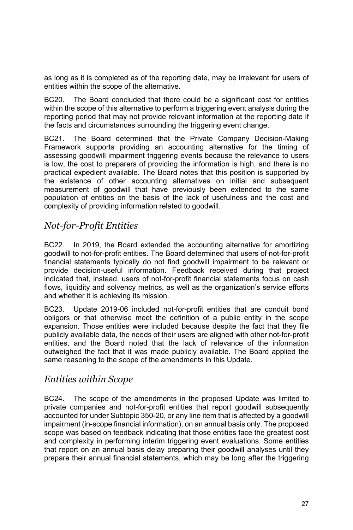as long as it is completed as of the reporting date, may be irrelevant for users of entities within the scope of the alternative.

BC20. The Board concluded that there could be a significant cost for entities within the scope of this alternative to perform a triggering event analysis during the reporting period that may not provide relevant information at the reporting date if the facts and circumstances surrounding the triggering event change.

BC21. The Board determined that the Private Company Decision-Making Framework supports providing an accounting alternative for the timing of assessing goodwill impairment triggering events because the relevance to users is low, the cost to preparers of providing the information is high, and there is no practical expedient available. The Board notes that this position is supported by the existence of other accounting alternatives on initial and subsequent measurement of goodwill that have previously been extended to the same population of entities on the basis of the lack of usefulness and the cost and complexity of providing information related to goodwill.

### *Not-for-Profit Entities*

BC22. In 2019, the Board extended the accounting alternative for amortizing goodwill to not-for-profit entities. The Board determined that users of not-for-profit financial statements typically do not find goodwill impairment to be relevant or provide decision-useful information. Feedback received during that project indicated that, instead, users of not-for-profit financial statements focus on cash flows, liquidity and solvency metrics, as well as the organization's service efforts and whether it is achieving its mission.

BC23. Update 2019-06 included not-for-profit entities that are conduit bond obligors or that otherwise meet the definition of a public entity in the scope expansion. Those entities were included because despite the fact that they file publicly available data, the needs of their users are aligned with other not-for-profit entities, and the Board noted that the lack of relevance of the information outweighed the fact that it was made publicly available. The Board applied the same reasoning to the scope of the amendments in this Update.

### *Entities within Scope*

BC24. The scope of the amendments in the proposed Update was limited to private companies and not-for-profit entities that report goodwill subsequently accounted for under Subtopic 350-20, or any line item that is affected by a goodwill impairment (in-scope financial information), on an annual basis only. The proposed scope was based on feedback indicating that those entities face the greatest cost and complexity in performing interim triggering event evaluations. Some entities that report on an annual basis delay preparing their goodwill analyses until they prepare their annual financial statements, which may be long after the triggering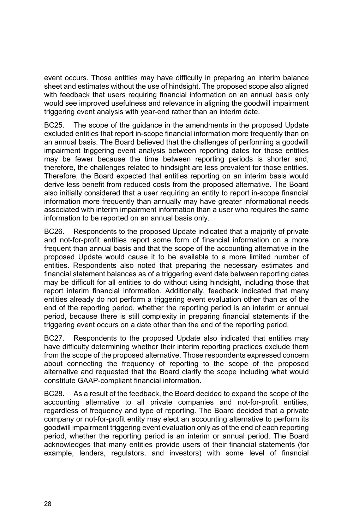event occurs. Those entities may have difficulty in preparing an interim balance sheet and estimates without the use of hindsight. The proposed scope also aligned with feedback that users requiring financial information on an annual basis only would see improved usefulness and relevance in aligning the goodwill impairment triggering event analysis with year-end rather than an interim date.

BC25. The scope of the guidance in the amendments in the proposed Update excluded entities that report in-scope financial information more frequently than on an annual basis. The Board believed that the challenges of performing a goodwill impairment triggering event analysis between reporting dates for those entities may be fewer because the time between reporting periods is shorter and, therefore, the challenges related to hindsight are less prevalent for those entities. Therefore, the Board expected that entities reporting on an interim basis would derive less benefit from reduced costs from the proposed alternative. The Board also initially considered that a user requiring an entity to report in-scope financial information more frequently than annually may have greater informational needs associated with interim impairment information than a user who requires the same information to be reported on an annual basis only.

BC26. Respondents to the proposed Update indicated that a majority of private and not-for-profit entities report some form of financial information on a more frequent than annual basis and that the scope of the accounting alternative in the proposed Update would cause it to be available to a more limited number of entities. Respondents also noted that preparing the necessary estimates and financial statement balances as of a triggering event date between reporting dates may be difficult for all entities to do without using hindsight, including those that report interim financial information. Additionally, feedback indicated that many entities already do not perform a triggering event evaluation other than as of the end of the reporting period, whether the reporting period is an interim or annual period, because there is still complexity in preparing financial statements if the triggering event occurs on a date other than the end of the reporting period.

BC27. Respondents to the proposed Update also indicated that entities may have difficulty determining whether their interim reporting practices exclude them from the scope of the proposed alternative. Those respondents expressed concern about connecting the frequency of reporting to the scope of the proposed alternative and requested that the Board clarify the scope including what would constitute GAAP-compliant financial information.

BC28. As a result of the feedback, the Board decided to expand the scope of the accounting alternative to all private companies and not-for-profit entities, regardless of frequency and type of reporting. The Board decided that a private company or not-for-profit entity may elect an accounting alternative to perform its goodwill impairment triggering event evaluation only as of the end of each reporting period, whether the reporting period is an interim or annual period. The Board acknowledges that many entities provide users of their financial statements (for example, lenders, regulators, and investors) with some level of financial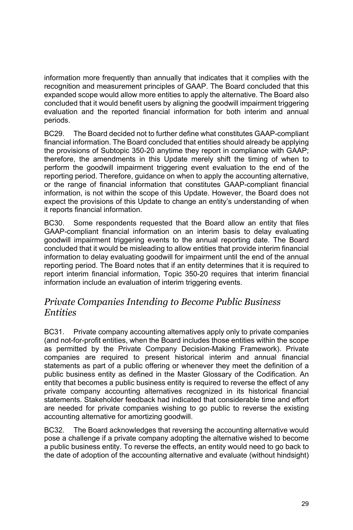information more frequently than annually that indicates that it complies with the recognition and measurement principles of GAAP. The Board concluded that this expanded scope would allow more entities to apply the alternative. The Board also concluded that it would benefit users by aligning the goodwill impairment triggering evaluation and the reported financial information for both interim and annual periods.

BC29. The Board decided not to further define what constitutes GAAP-compliant financial information. The Board concluded that entities should already be applying the provisions of Subtopic 350-20 anytime they report in compliance with GAAP; therefore, the amendments in this Update merely shift the timing of when to perform the goodwill impairment triggering event evaluation to the end of the reporting period. Therefore, guidance on when to apply the accounting alternative, or the range of financial information that constitutes GAAP-compliant financial information, is not within the scope of this Update. However, the Board does not expect the provisions of this Update to change an entity's understanding of when it reports financial information.

BC30. Some respondents requested that the Board allow an entity that files GAAP-compliant financial information on an interim basis to delay evaluating goodwill impairment triggering events to the annual reporting date. The Board concluded that it would be misleading to allow entities that provide interim financial information to delay evaluating goodwill for impairment until the end of the annual reporting period. The Board notes that if an entity determines that it is required to report interim financial information, Topic 350-20 requires that interim financial information include an evaluation of interim triggering events.

### *Private Companies Intending to Become Public Business Entities*

BC31. Private company accounting alternatives apply only to private companies (and not-for-profit entities, when the Board includes those entities within the scope as permitted by the Private Company Decision-Making Framework). Private companies are required to present historical interim and annual financial statements as part of a public offering or whenever they meet the definition of a public business entity as defined in the Master Glossary of the Codification. An entity that becomes a public business entity is required to reverse the effect of any private company accounting alternatives recognized in its historical financial statements. Stakeholder feedback had indicated that considerable time and effort are needed for private companies wishing to go public to reverse the existing accounting alternative for amortizing goodwill.

BC32. The Board acknowledges that reversing the accounting alternative would pose a challenge if a private company adopting the alternative wished to become a public business entity. To reverse the effects, an entity would need to go back to the date of adoption of the accounting alternative and evaluate (without hindsight)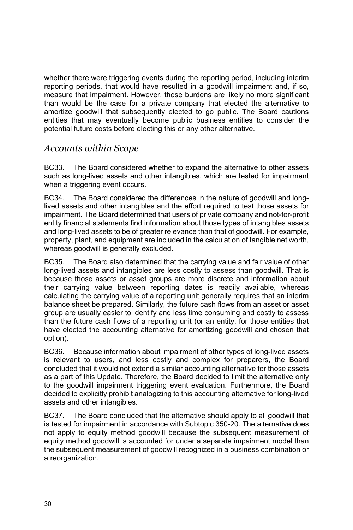whether there were triggering events during the reporting period, including interim reporting periods, that would have resulted in a goodwill impairment and, if so, measure that impairment. However, those burdens are likely no more significant than would be the case for a private company that elected the alternative to amortize goodwill that subsequently elected to go public. The Board cautions entities that may eventually become public business entities to consider the potential future costs before electing this or any other alternative.

### *Accounts within Scope*

BC33. The Board considered whether to expand the alternative to other assets such as long-lived assets and other intangibles, which are tested for impairment when a triggering event occurs.

BC34. The Board considered the differences in the nature of goodwill and longlived assets and other intangibles and the effort required to test those assets for impairment. The Board determined that users of private company and not-for-profit entity financial statements find information about those types of intangibles assets and long-lived assets to be of greater relevance than that of goodwill. For example, property, plant, and equipment are included in the calculation of tangible net worth, whereas goodwill is generally excluded.

BC35. The Board also determined that the carrying value and fair value of other long-lived assets and intangibles are less costly to assess than goodwill. That is because those assets or asset groups are more discrete and information about their carrying value between reporting dates is readily available, whereas calculating the carrying value of a reporting unit generally requires that an interim balance sheet be prepared. Similarly, the future cash flows from an asset or asset group are usually easier to identify and less time consuming and costly to assess than the future cash flows of a reporting unit (or an entity, for those entities that have elected the accounting alternative for amortizing goodwill and chosen that option).

BC36. Because information about impairment of other types of long-lived assets is relevant to users, and less costly and complex for preparers, the Board concluded that it would not extend a similar accounting alternative for those assets as a part of this Update. Therefore, the Board decided to limit the alternative only to the goodwill impairment triggering event evaluation. Furthermore, the Board decided to explicitly prohibit analogizing to this accounting alternative for long-lived assets and other intangibles.

BC37. The Board concluded that the alternative should apply to all goodwill that is tested for impairment in accordance with Subtopic 350-20. The alternative does not apply to equity method goodwill because the subsequent measurement of equity method goodwill is accounted for under a separate impairment model than the subsequent measurement of goodwill recognized in a business combination or a reorganization.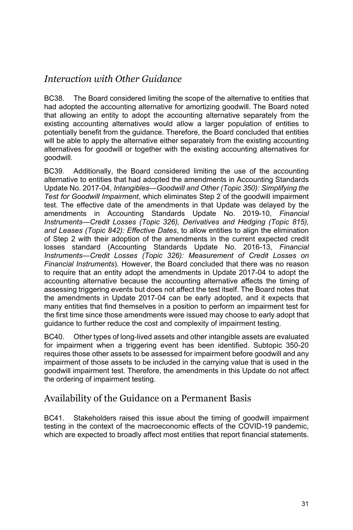### *Interaction with Other Guidance*

BC38. The Board considered limiting the scope of the alternative to entities that had adopted the accounting alternative for amortizing goodwill. The Board noted that allowing an entity to adopt the accounting alternative separately from the existing accounting alternatives would allow a larger population of entities to potentially benefit from the guidance. Therefore, the Board concluded that entities will be able to apply the alternative either separately from the existing accounting alternatives for goodwill or together with the existing accounting alternatives for goodwill.

BC39. Additionally, the Board considered limiting the use of the accounting alternative to entities that had adopted the amendments in Accounting Standards Update No. 2017-04, *Intangibles—Goodwill and Other (Topic 350): Simplifying the Test for Goodwill Impairment*, which eliminates Step 2 of the goodwill impairment test. The effective date of the amendments in that Update was delayed by the amendments in Accounting Standards Update No. 2019-10, *Financial Instruments—Credit Losses (Topic 326), Derivatives and Hedging (Topic 815), and Leases (Topic 842): Effective Dates*, to allow entities to align the elimination of Step 2 with their adoption of the amendments in the current expected credit losses standard (Accounting Standards Update No. 2016-13, *Financial Instruments—Credit Losses (Topic 326): Measurement of Credit Losses on Financial Instruments*). However, the Board concluded that there was no reason to require that an entity adopt the amendments in Update 2017-04 to adopt the accounting alternative because the accounting alternative affects the timing of assessing triggering events but does not affect the test itself. The Board notes that the amendments in Update 2017-04 can be early adopted, and it expects that many entities that find themselves in a position to perform an impairment test for the first time since those amendments were issued may choose to early adopt that guidance to further reduce the cost and complexity of impairment testing.

BC40. Other types of long-lived assets and other intangible assets are evaluated for impairment when a triggering event has been identified. Subtopic 350-20 requires those other assets to be assessed for impairment before goodwill and any impairment of those assets to be included in the carrying value that is used in the goodwill impairment test. Therefore, the amendments in this Update do not affect the ordering of impairment testing.

### Availability of the Guidance on a Permanent Basis

BC41. Stakeholders raised this issue about the timing of goodwill impairment testing in the context of the macroeconomic effects of the COVID-19 pandemic, which are expected to broadly affect most entities that report financial statements.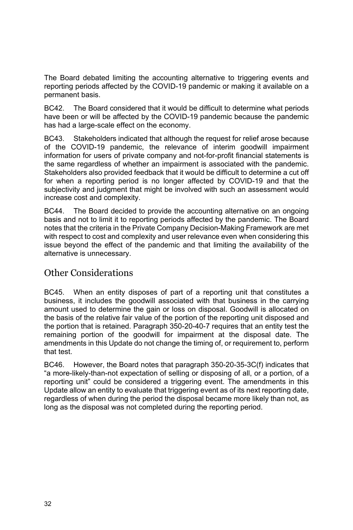The Board debated limiting the accounting alternative to triggering events and reporting periods affected by the COVID-19 pandemic or making it available on a permanent basis.

BC42. The Board considered that it would be difficult to determine what periods have been or will be affected by the COVID-19 pandemic because the pandemic has had a large-scale effect on the economy.

BC43. Stakeholders indicated that although the request for relief arose because of the COVID-19 pandemic, the relevance of interim goodwill impairment information for users of private company and not-for-profit financial statements is the same regardless of whether an impairment is associated with the pandemic. Stakeholders also provided feedback that it would be difficult to determine a cut off for when a reporting period is no longer affected by COVID-19 and that the subjectivity and judgment that might be involved with such an assessment would increase cost and complexity.

BC44. The Board decided to provide the accounting alternative on an ongoing basis and not to limit it to reporting periods affected by the pandemic. The Board notes that the criteria in the Private Company Decision-Making Framework are met with respect to cost and complexity and user relevance even when considering this issue beyond the effect of the pandemic and that limiting the availability of the alternative is unnecessary.

### Other Considerations

BC45. When an entity disposes of part of a reporting unit that constitutes a business, it includes the goodwill associated with that business in the carrying amount used to determine the gain or loss on disposal. Goodwill is allocated on the basis of the relative fair value of the portion of the reporting unit disposed and the portion that is retained. Paragraph 350-20-40-7 requires that an entity test the remaining portion of the goodwill for impairment at the disposal date. The amendments in this Update do not change the timing of, or requirement to, perform that test.

BC46. However, the Board notes that paragraph 350-20-35-3C(f) indicates that "a more-likely-than-not expectation of selling or disposing of all, or a portion, of a reporting unit" could be considered a triggering event. The amendments in this Update allow an entity to evaluate that triggering event as of its next reporting date, regardless of when during the period the disposal became more likely than not, as long as the disposal was not completed during the reporting period.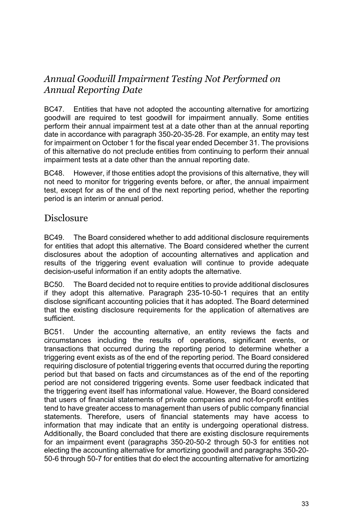### *Annual Goodwill Impairment Testing Not Performed on Annual Reporting Date*

BC47. Entities that have not adopted the accounting alternative for amortizing goodwill are required to test goodwill for impairment annually. Some entities perform their annual impairment test at a date other than at the annual reporting date in accordance with paragraph 350-20-35-28. For example, an entity may test for impairment on October 1 for the fiscal year ended December 31. The provisions of this alternative do not preclude entities from continuing to perform their annual impairment tests at a date other than the annual reporting date.

BC48. However, if those entities adopt the provisions of this alternative, they will not need to monitor for triggering events before, or after, the annual impairment test, except for as of the end of the next reporting period, whether the reporting period is an interim or annual period.

### **Disclosure**

BC49. The Board considered whether to add additional disclosure requirements for entities that adopt this alternative. The Board considered whether the current disclosures about the adoption of accounting alternatives and application and results of the triggering event evaluation will continue to provide adequate decision-useful information if an entity adopts the alternative.

BC50. The Board decided not to require entities to provide additional disclosures if they adopt this alternative. Paragraph 235-10-50-1 requires that an entity disclose significant accounting policies that it has adopted. The Board determined that the existing disclosure requirements for the application of alternatives are sufficient.

BC51. Under the accounting alternative, an entity reviews the facts and circumstances including the results of operations, significant events, or transactions that occurred during the reporting period to determine whether a triggering event exists as of the end of the reporting period. The Board considered requiring disclosure of potential triggering events that occurred during the reporting period but that based on facts and circumstances as of the end of the reporting period are not considered triggering events. Some user feedback indicated that the triggering event itself has informational value. However, the Board considered that users of financial statements of private companies and not-for-profit entities tend to have greater access to management than users of public company financial statements. Therefore, users of financial statements may have access to information that may indicate that an entity is undergoing operational distress. Additionally, the Board concluded that there are existing disclosure requirements for an impairment event (paragraphs 350-20-50-2 through 50-3 for entities not electing the accounting alternative for amortizing goodwill and paragraphs 350-20- 50-6 through 50-7 for entities that do elect the accounting alternative for amortizing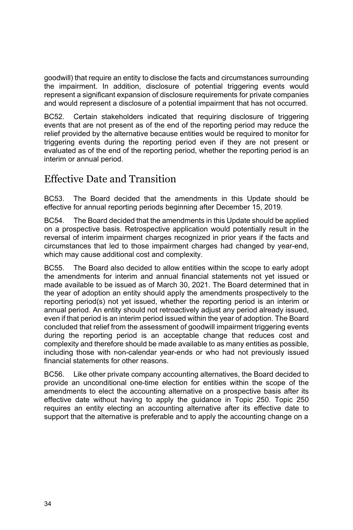goodwill) that require an entity to disclose the facts and circumstances surrounding the impairment. In addition, disclosure of potential triggering events would represent a significant expansion of disclosure requirements for private companies and would represent a disclosure of a potential impairment that has not occurred.

BC52. Certain stakeholders indicated that requiring disclosure of triggering events that are not present as of the end of the reporting period may reduce the relief provided by the alternative because entities would be required to monitor for triggering events during the reporting period even if they are not present or evaluated as of the end of the reporting period, whether the reporting period is an interim or annual period.

### Effective Date and Transition

BC53. The Board decided that the amendments in this Update should be effective for annual reporting periods beginning after December 15, 2019.

BC54. The Board decided that the amendments in this Update should be applied on a prospective basis. Retrospective application would potentially result in the reversal of interim impairment charges recognized in prior years if the facts and circumstances that led to those impairment charges had changed by year-end, which may cause additional cost and complexity.

BC55. The Board also decided to allow entities within the scope to early adopt the amendments for interim and annual financial statements not yet issued or made available to be issued as of March 30, 2021. The Board determined that in the year of adoption an entity should apply the amendments prospectively to the reporting period(s) not yet issued, whether the reporting period is an interim or annual period. An entity should not retroactively adjust any period already issued, even if that period is an interim period issued within the year of adoption. The Board concluded that relief from the assessment of goodwill impairment triggering events during the reporting period is an acceptable change that reduces cost and complexity and therefore should be made available to as many entities as possible, including those with non-calendar year-ends or who had not previously issued financial statements for other reasons.

BC56. Like other private company accounting alternatives, the Board decided to provide an unconditional one-time election for entities within the scope of the amendments to elect the accounting alternative on a prospective basis after its effective date without having to apply the guidance in Topic 250. Topic 250 requires an entity electing an accounting alternative after its effective date to support that the alternative is preferable and to apply the accounting change on a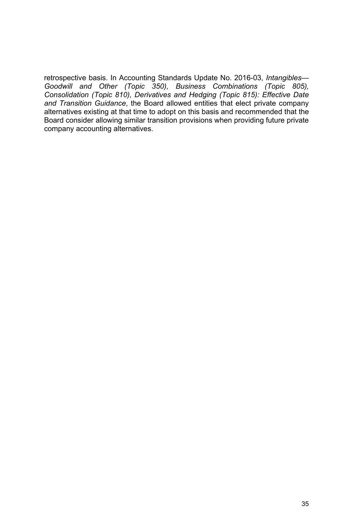retrospective basis. In Accounting Standards Update No. 2016-03, *Intangibles— Goodwill and Other (Topic 350), Business Combinations (Topic 805), Consolidation (Topic 810), Derivatives and Hedging (Topic 815): Effective Date and Transition Guidance*, the Board allowed entities that elect private company alternatives existing at that time to adopt on this basis and recommended that the Board consider allowing similar transition provisions when providing future private company accounting alternatives.